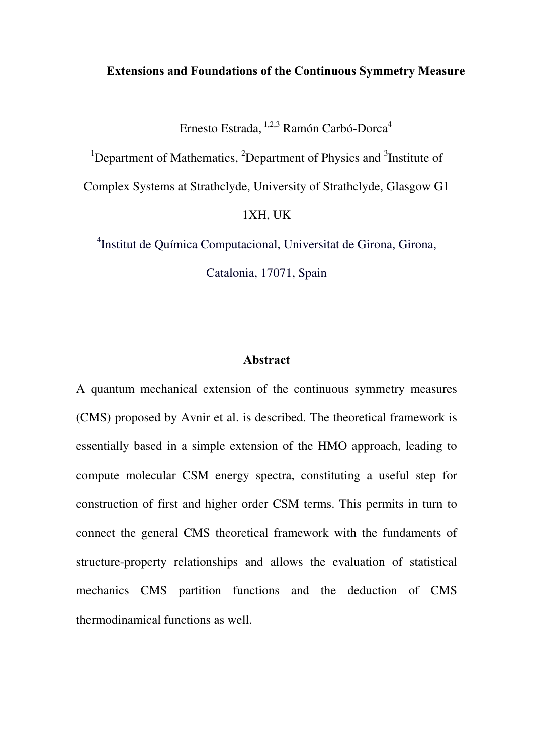#### **Extensions and Foundations of the Continuous Symmetry Measure**

Ernesto Estrada, <sup>1,2,3</sup> Ramón Carbó-Dorca<sup>4</sup>

<sup>1</sup>Department of Mathematics,  ${}^{2}$ Department of Physics and  ${}^{3}$ Institute of

Complex Systems at Strathclyde, University of Strathclyde, Glasgow G1

#### 1XH, UK

4 Institut de Química Computacional, Universitat de Girona, Girona,

Catalonia, 17071, Spain

### **Abstract**

A quantum mechanical extension of the continuous symmetry measures (CMS) proposed by Avnir et al. is described. The theoretical framework is essentially based in a simple extension of the HMO approach, leading to compute molecular CSM energy spectra, constituting a useful step for construction of first and higher order CSM terms. This permits in turn to connect the general CMS theoretical framework with the fundaments of structure-property relationships and allows the evaluation of statistical mechanics CMS partition functions and the deduction of CMS thermodinamical functions as well.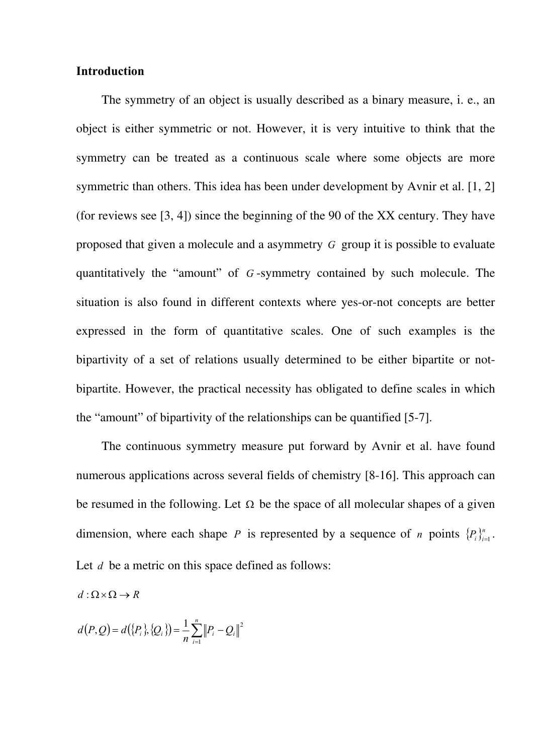### **Introduction**

The symmetry of an object is usually described as a binary measure, i. e., an object is either symmetric or not. However, it is very intuitive to think that the symmetry can be treated as a continuous scale where some objects are more symmetric than others. This idea has been under development by Avnir et al. [1, 2] (for reviews see [3, 4]) since the beginning of the 90 of the XX century. They have proposed that given a molecule and a asymmetry *G* group it is possible to evaluate quantitatively the "amount" of *G* -symmetry contained by such molecule. The situation is also found in different contexts where yes-or-not concepts are better expressed in the form of quantitative scales. One of such examples is the bipartivity of a set of relations usually determined to be either bipartite or notbipartite. However, the practical necessity has obligated to define scales in which the "amount" of bipartivity of the relationships can be quantified [5-7].

The continuous symmetry measure put forward by Avnir et al. have found numerous applications across several fields of chemistry [8-16]. This approach can be resumed in the following. Let  $\Omega$  be the space of all molecular shapes of a given dimension, where each shape *P* is represented by a sequence of *n* points  $\{P_i\}_{i=1}^n$ . Let *d* be a metric on this space defined as follows:

 $d : \Omega \times \Omega \rightarrow R$ 

$$
d(P,Q) = d({P_i}, {Q_i}) = \frac{1}{n} \sum_{i=1}^{n} ||P_i - Q_i||^2
$$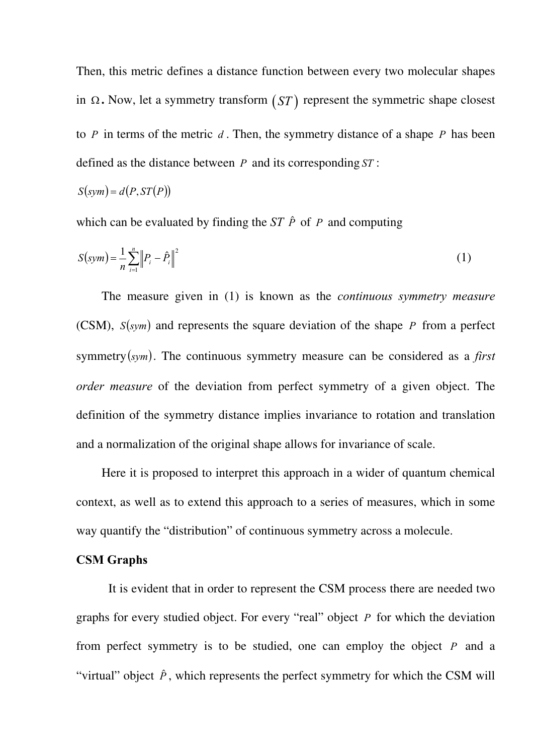Then, this metric defines a distance function between every two molecular shapes in Ω **.** Now, let a symmetry transform (*ST* ) represent the symmetric shape closest to *P* in terms of the metric *d* . Then, the symmetry distance of a shape *P* has been defined as the distance between *P* and its corresponding *ST* :

$$
S(sym) = d(P, ST(P))
$$

which can be evaluated by finding the  $ST \hat{P}$  of  $P$  and computing

$$
S(sym) = \frac{1}{n} \sum_{i=1}^{n} \left\| P_i - \hat{P}_i \right\|^2
$$
 (1)

The measure given in (1) is known as the *continuous symmetry measure*  (CSM),  $S(sym)$  and represents the square deviation of the shape P from a perfect symmetry  $(sym)$ . The continuous symmetry measure can be considered as a *first order measure* of the deviation from perfect symmetry of a given object. The definition of the symmetry distance implies invariance to rotation and translation and a normalization of the original shape allows for invariance of scale.

Here it is proposed to interpret this approach in a wider of quantum chemical context, as well as to extend this approach to a series of measures, which in some way quantify the "distribution" of continuous symmetry across a molecule.

## **CSM Graphs**

It is evident that in order to represent the CSM process there are needed two graphs for every studied object. For every "real" object *P* for which the deviation from perfect symmetry is to be studied, one can employ the object  $P$  and a "virtual" object  $\hat{P}$ , which represents the perfect symmetry for which the CSM will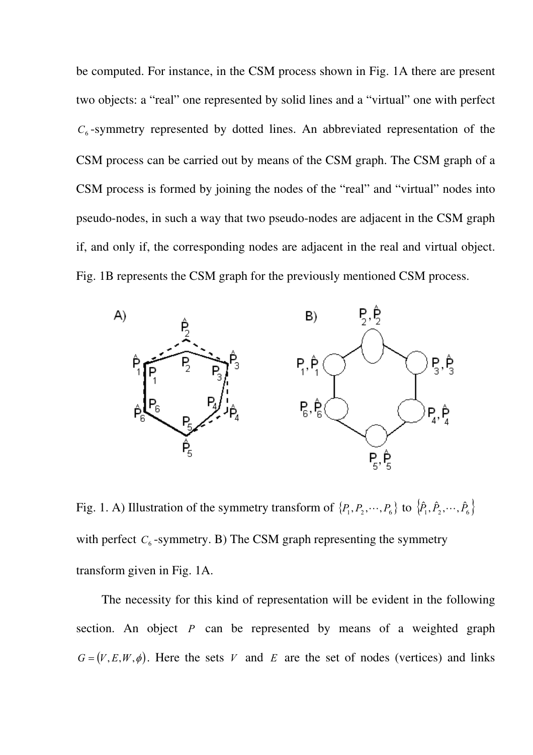be computed. For instance, in the CSM process shown in Fig. 1A there are present two objects: a "real" one represented by solid lines and a "virtual" one with perfect  $C_6$ -symmetry represented by dotted lines. An abbreviated representation of the CSM process can be carried out by means of the CSM graph. The CSM graph of a CSM process is formed by joining the nodes of the "real" and "virtual" nodes into pseudo-nodes, in such a way that two pseudo-nodes are adjacent in the CSM graph if, and only if, the corresponding nodes are adjacent in the real and virtual object. Fig. 1B represents the CSM graph for the previously mentioned CSM process.



Fig. 1. A) Illustration of the symmetry transform of  $\{P_1, P_2, \dots, P_6\}$  to  $\{\hat{P}_1, \hat{P}_2, \dots, \hat{P}_6\}$ with perfect  $C_6$ -symmetry. B) The CSM graph representing the symmetry transform given in Fig. 1A.

The necessity for this kind of representation will be evident in the following section. An object *P* can be represented by means of a weighted graph  $G = (V, E, W, \phi)$ . Here the sets *V* and *E* are the set of nodes (vertices) and links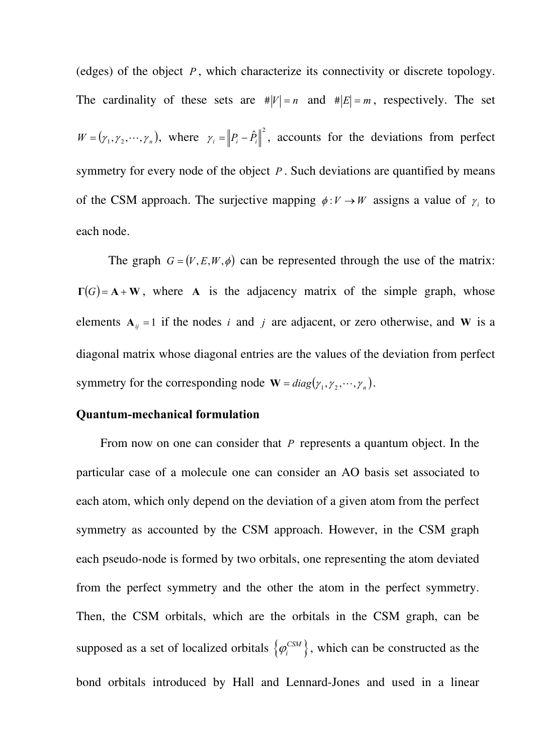(edges) of the object  $P$ , which characterize its connectivity or discrete topology. The cardinality of these sets are  $\#|V| = n$  and  $\#|E| = m$ , respectively. The set  $W = (\gamma_1, \gamma_2, \dots, \gamma_n)$ , where  $\gamma_i = ||P_i - \hat{P}_i||^2$ , accounts for the deviations from perfect symmetry for every node of the object *P* . Such deviations are quantified by means of the CSM approach. The surjective mapping  $\phi: V \to W$  assigns a value of  $\gamma_i$  to each node.

The graph  $G = (V, E, W, \phi)$  can be represented through the use of the matrix:  $\Gamma(G) = A + W$ , where A is the adjacency matrix of the simple graph, whose elements  $A_{ij} = 1$  if the nodes *i* and *j* are adjacent, or zero otherwise, and **W** is a diagonal matrix whose diagonal entries are the values of the deviation from perfect symmetry for the corresponding node  $\mathbf{W} = diag(\gamma_1, \gamma_2, \dots, \gamma_n)$ .

### **Quantum-mechanical formulation**

From now on one can consider that *P* represents a quantum object. In the particular case of a molecule one can consider an AO basis set associated to each atom, which only depend on the deviation of a given atom from the perfect symmetry as accounted by the CSM approach. However, in the CSM graph each pseudo-node is formed by two orbitals, one representing the atom deviated from the perfect symmetry and the other the atom in the perfect symmetry. Then, the CSM orbitals, which are the orbitals in the CSM graph, can be supposed as a set of localized orbitals  $\{\varphi_i^{\text{CSM}}\},\$  $\varphi_i^{\text{CSM}}\}$ , which can be constructed as the bond orbitals introduced by Hall and Lennard-Jones and used in a linear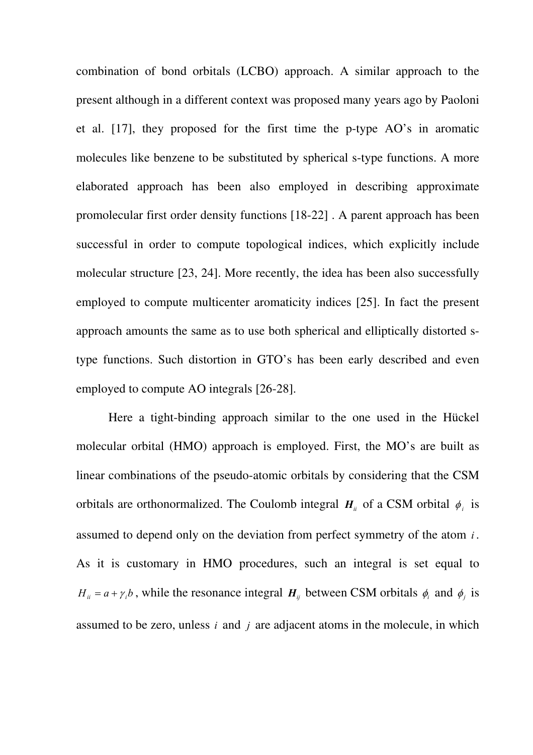combination of bond orbitals (LCBO) approach. A similar approach to the present although in a different context was proposed many years ago by Paoloni et al. [17], they proposed for the first time the p-type AO's in aromatic molecules like benzene to be substituted by spherical s-type functions. A more elaborated approach has been also employed in describing approximate promolecular first order density functions [\[18-](#page-12-0)[22\]](#page-12-1) . A parent approach has been successful in order to compute topological indices, which explicitly include molecular structure [\[23](#page-12-2)[, 24\]](#page-13-0). More recently, the idea has been also successfully employed to compute multicenter aromaticity indices [\[25\].](#page-13-1) In fact the present approach amounts the same as to use both spherical and elliptically distorted stype functions. Such distortion in GTO's has been early described and even employed to compute AO integrals [\[26-](#page-13-2)[28\]](#page-13-3).

Here a tight-binding approach similar to the one used in the Hückel molecular orbital (HMO) approach is employed. First, the MO's are built as linear combinations of the pseudo-atomic orbitals by considering that the CSM orbitals are orthonormalized. The Coulomb integral  $H_{ii}$  of a CSM orbital  $\phi_i$  is assumed to depend only on the deviation from perfect symmetry of the atom  $i$ . As it is customary in HMO procedures, such an integral is set equal to  $H_{ii} = a + \gamma_i b$ , while the resonance integral  $H_{ij}$  between CSM orbitals  $\phi_i$  and  $\phi_j$  is assumed to be zero, unless *i* and *j* are adjacent atoms in the molecule, in which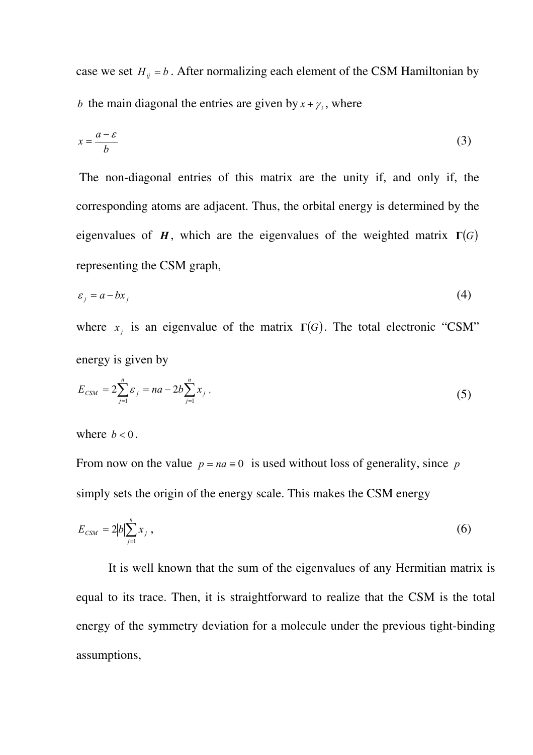case we set  $H_{ij} = b$ . After normalizing each element of the CSM Hamiltonian by *b* the main diagonal the entries are given by  $x + \gamma$ , where

$$
x = \frac{a - \varepsilon}{b} \tag{3}
$$

 The non-diagonal entries of this matrix are the unity if, and only if, the corresponding atoms are adjacent. Thus, the orbital energy is determined by the eigenvalues of *H*, which are the eigenvalues of the weighted matrix  $\Gamma(G)$ representing the CSM graph,

$$
\varepsilon_j = a - bx_j \tag{4}
$$

where  $x_j$  is an eigenvalue of the matrix  $\Gamma(G)$ . The total electronic "CSM" energy is given by

$$
E_{CSM} = 2\sum_{j=1}^{n} \varepsilon_j = na - 2b \sum_{j=1}^{n} x_j , \qquad (5)
$$

where  $b < 0$ .

From now on the value  $p = na \equiv 0$  is used without loss of generality, since *p* simply sets the origin of the energy scale. This makes the CSM energy

$$
E_{CSM} = 2|b| \sum_{j=1}^{n} x_j , \qquad (6)
$$

It is well known that the sum of the eigenvalues of any Hermitian matrix is equal to its trace. Then, it is straightforward to realize that the CSM is the total energy of the symmetry deviation for a molecule under the previous tight-binding assumptions,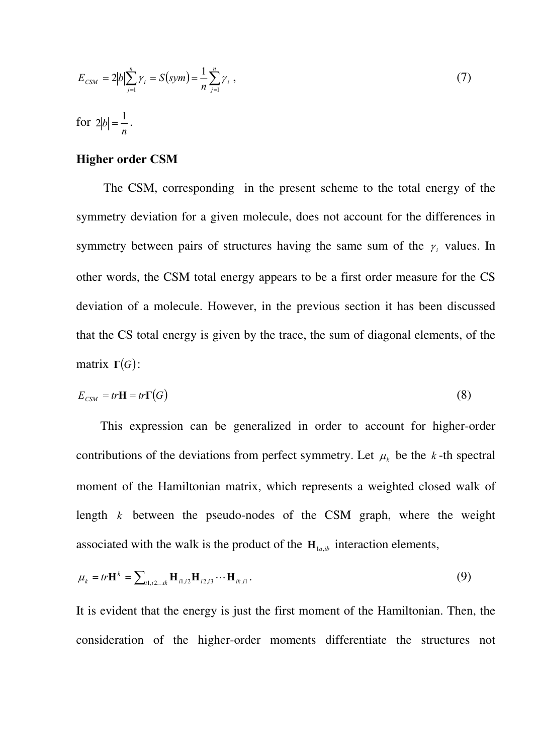$$
E_{CSM} = 2|b| \sum_{j=1}^{n} \gamma_i = S(sym) = \frac{1}{n} \sum_{j=1}^{n} \gamma_i,
$$
\n(7)

for *n*  $2|b| = \frac{1}{a}$ .

# **Higher order CSM**

 The CSM, corresponding in the present scheme to the total energy of the symmetry deviation for a given molecule, does not account for the differences in symmetry between pairs of structures having the same sum of the  $\gamma_i$  values. In other words, the CSM total energy appears to be a first order measure for the CS deviation of a molecule. However, in the previous section it has been discussed that the CS total energy is given by the trace, the sum of diagonal elements, of the matrix  $\Gamma(G)$ :

$$
E_{\text{CSM}} = tr\mathbf{H} = tr\mathbf{\Gamma}(G) \tag{8}
$$

This expression can be generalized in order to account for higher-order contributions of the deviations from perfect symmetry. Let  $\mu_k$  be the *k*-th spectral moment of the Hamiltonian matrix, which represents a weighted closed walk of length  $k$  between the pseudo-nodes of the CSM graph, where the weight associated with the walk is the product of the  $H_{1a, ib}$  interaction elements,

$$
\mu_{k} = tr \mathbf{H}^{k} = \sum_{i1, i2...i k} \mathbf{H}_{i1, i2} \mathbf{H}_{i2, i3} \cdots \mathbf{H}_{i k, i1}.
$$
\n(9)

It is evident that the energy is just the first moment of the Hamiltonian. Then, the consideration of the higher-order moments differentiate the structures not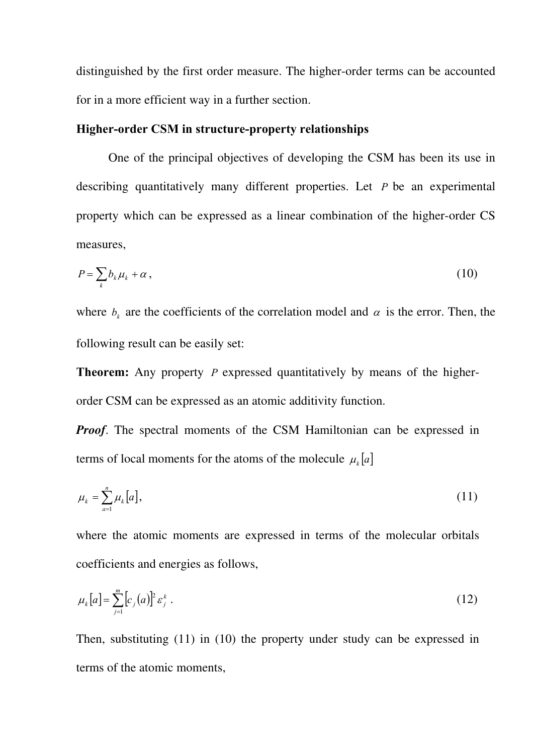distinguished by the first order measure. The higher-order terms can be accounted for in a more efficient way in a further section.

## **Higher-order CSM in structure-property relationships**

One of the principal objectives of developing the CSM has been its use in describing quantitatively many different properties. Let *P* be an experimental property which can be expressed as a linear combination of the higher-order CS measures,

$$
P = \sum_{k} b_k \mu_k + \alpha \,, \tag{10}
$$

where  $b_k$  are the coefficients of the correlation model and  $\alpha$  is the error. Then, the following result can be easily set:

**Theorem:** Any property *P* expressed quantitatively by means of the higherorder CSM can be expressed as an atomic additivity function.

*Proof.* The spectral moments of the CSM Hamiltonian can be expressed in terms of local moments for the atoms of the molecule  $\mu_k[a]$ 

$$
\mu_k = \sum_{a=1}^n \mu_k[a], \tag{11}
$$

where the atomic moments are expressed in terms of the molecular orbitals coefficients and energies as follows,

$$
\mu_k[a] = \sum_{j=1}^m [c_j(a)]^2 \varepsilon_j^k . \tag{12}
$$

Then, substituting (11) in (10) the property under study can be expressed in terms of the atomic moments,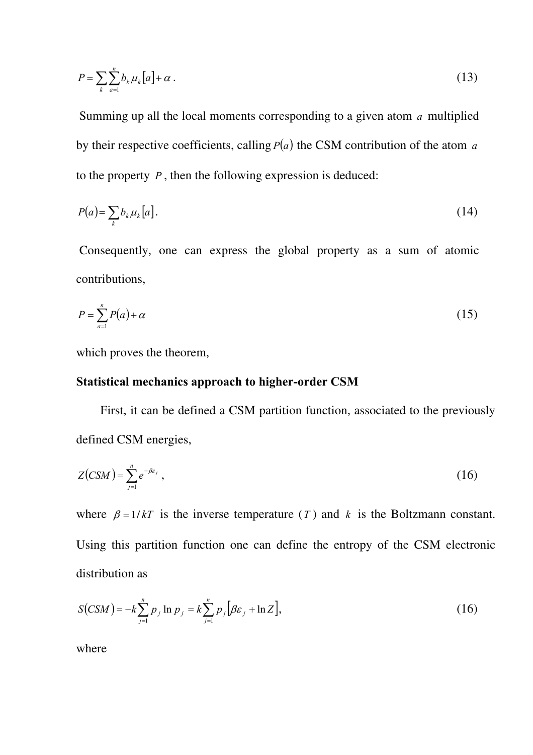$$
P = \sum_{k} \sum_{a=1}^{n} b_k \mu_k [a] + \alpha \,. \tag{13}
$$

Summing up all the local moments corresponding to a given atom  $a$  multiplied by their respective coefficients, calling *P*(*a*) the CSM contribution of the atom *a* to the property *P* , then the following expression is deduced:

$$
P(a) = \sum_{k} b_k \mu_k [a]. \tag{14}
$$

 Consequently, one can express the global property as a sum of atomic contributions,

$$
P = \sum_{a=1}^{n} P(a) + \alpha \tag{15}
$$

which proves the theorem,

# **Statistical mechanics approach to higher-order CSM**

First, it can be defined a CSM partition function, associated to the previously defined CSM energies,

$$
Z(CSM) = \sum_{j=1}^{n} e^{-\beta \varepsilon_j} \,, \tag{16}
$$

where  $\beta = 1/kT$  is the inverse temperature (*T*) and k is the Boltzmann constant. Using this partition function one can define the entropy of the CSM electronic distribution as

$$
S(CSM) = -k \sum_{j=1}^{n} p_j \ln p_j = k \sum_{j=1}^{n} p_j [\beta \varepsilon_j + \ln Z],
$$
 (16)

where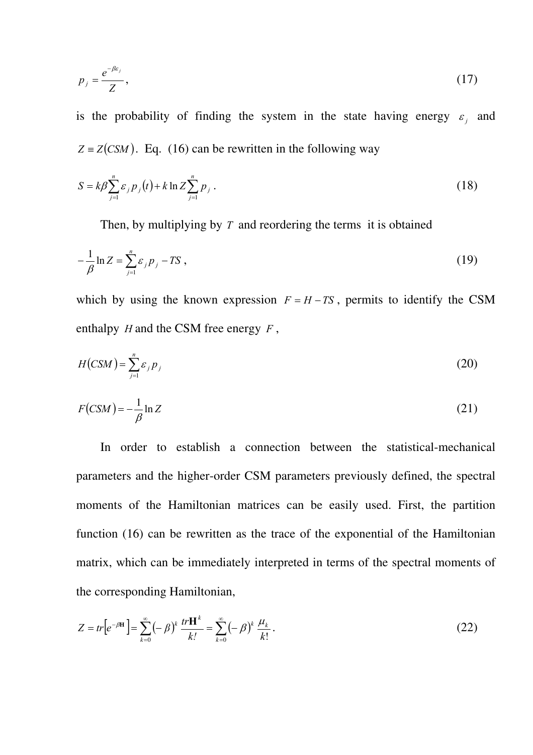$$
p_j = \frac{e^{-\beta \varepsilon_j}}{Z},\tag{17}
$$

is the probability of finding the system in the state having energy  $\varepsilon_j$  and  $Z = Z(CSM)$ . Eq. (16) can be rewritten in the following way

$$
S = k\beta \sum_{j=1}^{n} \varepsilon_j p_j(t) + k \ln Z \sum_{j=1}^{n} p_j.
$$
 (18)

Then, by multiplying by *T* and reordering the terms it is obtained

$$
-\frac{1}{\beta}\ln Z = \sum_{j=1}^{n} \varepsilon_j p_j - TS \,,\tag{19}
$$

which by using the known expression  $F = H - TS$ , permits to identify the CSM enthalpy *H* and the CSM free energy *F* ,

$$
H(CSM) = \sum_{j=1}^{n} \varepsilon_j p_j \tag{20}
$$

$$
F(CSM) = -\frac{1}{\beta} \ln Z \tag{21}
$$

In order to establish a connection between the statistical-mechanical parameters and the higher-order CSM parameters previously defined, the spectral moments of the Hamiltonian matrices can be easily used. First, the partition function (16) can be rewritten as the trace of the exponential of the Hamiltonian matrix, which can be immediately interpreted in terms of the spectral moments of the corresponding Hamiltonian,

$$
Z = tr \left[ e^{-\beta H} \right] = \sum_{k=0}^{\infty} (-\beta)^k \frac{tr \mathbf{H}^k}{k!} = \sum_{k=0}^{\infty} (-\beta)^k \frac{\mu_k}{k!}.
$$
 (22)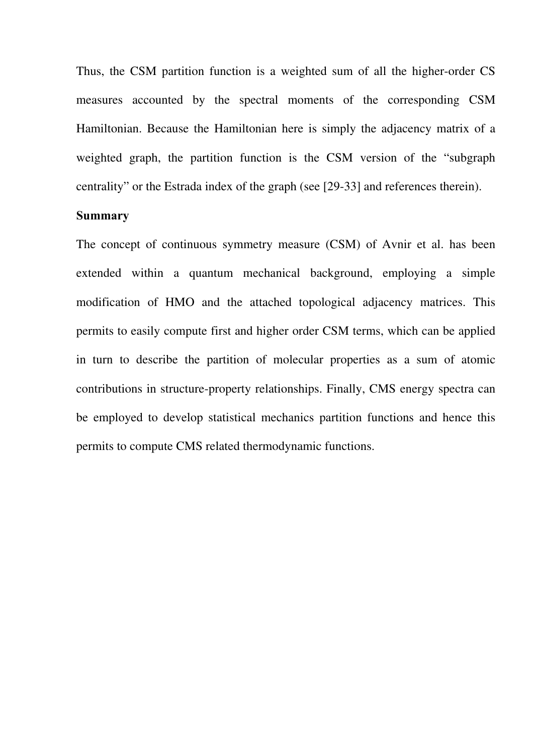Thus, the CSM partition function is a weighted sum of all the higher-order CS measures accounted by the spectral moments of the corresponding CSM Hamiltonian. Because the Hamiltonian here is simply the adjacency matrix of a weighted graph, the partition function is the CSM version of the "subgraph centrality" or the Estrada index of the graph (see [29-33] and references therein).

# **Summary**

The concept of continuous symmetry measure (CSM) of Avnir et al. has been extended within a quantum mechanical background, employing a simple modification of HMO and the attached topological adjacency matrices. This permits to easily compute first and higher order CSM terms, which can be applied in turn to describe the partition of molecular properties as a sum of atomic contributions in structure-property relationships. Finally, CMS energy spectra can be employed to develop statistical mechanics partition functions and hence this permits to compute CMS related thermodynamic functions.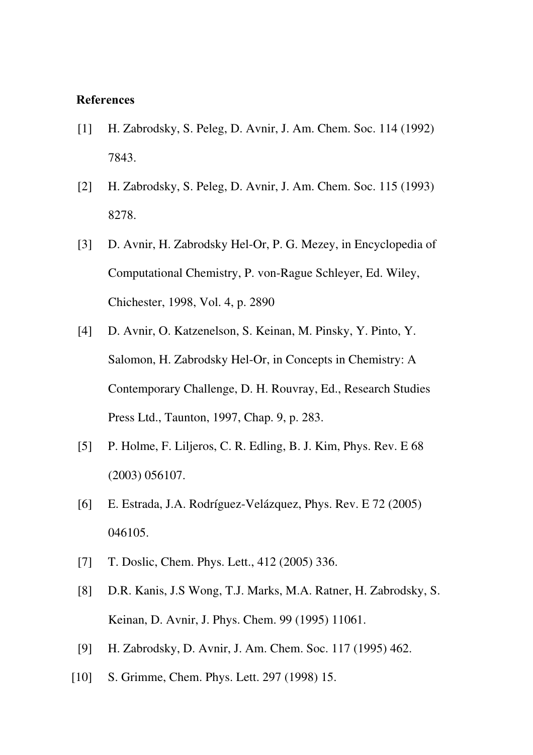## **References**

- [1] H. Zabrodsky, S. Peleg, D. Avnir, J. Am. Chem. Soc. 114 (1992) 7843.
- [2] H. Zabrodsky, S. Peleg, D. Avnir, J. Am. Chem. Soc. 115 (1993) 8278.
- [3] D. Avnir, H. Zabrodsky Hel-Or, P. G. Mezey, in Encyclopedia of Computational Chemistry, P. von-Rague Schleyer, Ed. Wiley, Chichester, 1998, Vol. 4, p. 2890
- [4] D. Avnir, O. Katzenelson, S. Keinan, M. Pinsky, Y. Pinto, Y. Salomon, H. Zabrodsky Hel-Or, in Concepts in Chemistry: A Contemporary Challenge, D. H. Rouvray, Ed., Research Studies Press Ltd., Taunton, 1997, Chap. 9, p. 283.
- <span id="page-12-0"></span>[5] P. Holme, F. Liljeros, C. R. Edling, B. J. Kim, Phys. Rev. E 68 (2003) 056107.
- [6] E. Estrada, J.A. Rodríguez-Velázquez, Phys. Rev. E 72 (2005) 046105.
- [7] T. Doslic, Chem. Phys. Lett., 412 (2005) 336.
- <span id="page-12-1"></span>[8] D.R. Kanis, J.S Wong, T.J. Marks, M.A. Ratner, H. Zabrodsky, S. Keinan, D. Avnir, J. Phys. Chem. 99 (1995) 11061.
- <span id="page-12-2"></span>[9] H. Zabrodsky, D. Avnir, J. Am. Chem. Soc. 117 (1995) 462.
- [10] S. Grimme, Chem. Phys. Lett. 297 (1998) 15.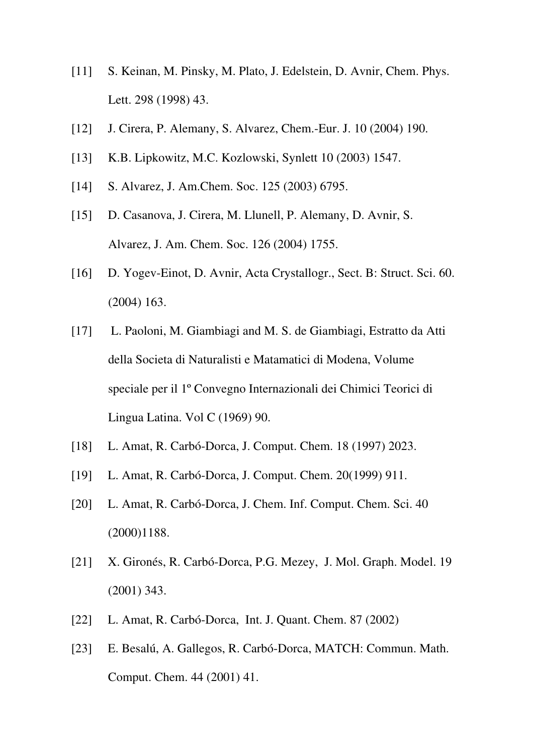- <span id="page-13-0"></span>[11] S. Keinan, M. Pinsky, M. Plato, J. Edelstein, D. Avnir, Chem. Phys. Lett. 298 (1998) 43.
- <span id="page-13-1"></span>[12] J. Cirera, P. Alemany, S. Alvarez, Chem.-Eur. J. 10 (2004) 190.
- [13] K.B. Lipkowitz, M.C. Kozlowski, Synlett 10 (2003) 1547.
- <span id="page-13-2"></span>[14] S. Alvarez, J. Am.Chem. Soc. 125 (2003) 6795.
- <span id="page-13-3"></span>[15] D. Casanova, J. Cirera, M. Llunell, P. Alemany, D. Avnir, S. Alvarez, J. Am. Chem. Soc. 126 (2004) 1755.
- [16] D. Yogev-Einot, D. Avnir, Acta Crystallogr., Sect. B: Struct. Sci. 60. (2004) 163.
- [17] L. Paoloni, M. Giambiagi and M. S. de Giambiagi, Estratto da Atti della Societa di Naturalisti e Matamatici di Modena, Volume speciale per il 1º Convegno Internazionali dei Chimici Teorici di Lingua Latina. Vol C (1969) 90.
- [18] L. Amat, R. Carbó-Dorca, J. Comput. Chem. 18 (1997) 2023.
- [19] L. Amat, R. Carbó-Dorca, J. Comput. Chem. 20(1999) 911.
- [20] L. Amat, R. Carbó-Dorca, J. Chem. Inf. Comput. Chem. Sci. 40 (2000)1188.
- [21] X. Gironés, R. Carbó-Dorca, P.G. Mezey, J. Mol. Graph. Model. 19 (2001) 343.
- [22] L. Amat, R. Carbó-Dorca, Int. J. Quant. Chem. 87 (2002)
- [23] E. Besalú, A. Gallegos, R. Carbó-Dorca, MATCH: Commun. Math. Comput. Chem. 44 (2001) 41.